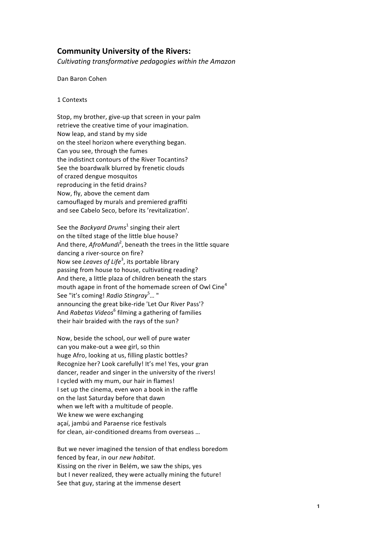# **Community University of the Rivers:**

*Cultivating transformative pedagogies within the Amazon*

Dan Baron Cohen

#### 1 Contexts

Stop, my brother, give-up that screen in your palm retrieve the creative time of your imagination. Now leap, and stand by my side on the steel horizon where everything began. Can you see, through the fumes the indistinct contours of the River Tocantins? See the boardwalk blurred by frenetic clouds of crazed dengue mosquitos reproducing in the fetid drains? Now, fly, above the cement dam camouflaged by murals and premiered graffiti and see Cabelo Seco, before its 'revitalization'.

See the *Backyard Drums*<sup>1</sup> singing their alert on the tilted stage of the little blue house? And there, *AfroMundi<sup>2</sup>*, beneath the trees in the little square dancing a river-source on fire? Now see Leaves of Life<sup>3</sup>, its portable library passing from house to house, cultivating reading? And there, a little plaza of children beneath the stars mouth agape in front of the homemade screen of Owl Cine<sup>4</sup> See "it's coming! *Radio Stingray<sup>5</sup>...* " announcing the great bike-ride 'Let Our River Pass'? And *Rabetas Videos*<sup>6</sup> filming a gathering of families their hair braided with the rays of the sun?

Now, beside the school, our well of pure water can you make-out a wee girl, so thin huge Afro, looking at us, filling plastic bottles? Recognize her? Look carefully! It's me! Yes, your gran dancer, reader and singer in the university of the rivers! I cycled with my mum, our hair in flames! I set up the cinema, even won a book in the raffle on the last Saturday before that dawn when we left with a multitude of people. We knew we were exchanging acaí, jambú and Paraense rice festivals for clean, air-conditioned dreams from overseas ...

But we never imagined the tension of that endless boredom fenced by fear, in our *new habitat*. Kissing on the river in Belém, we saw the ships, yes but I never realized, they were actually mining the future! See that guy, staring at the immense desert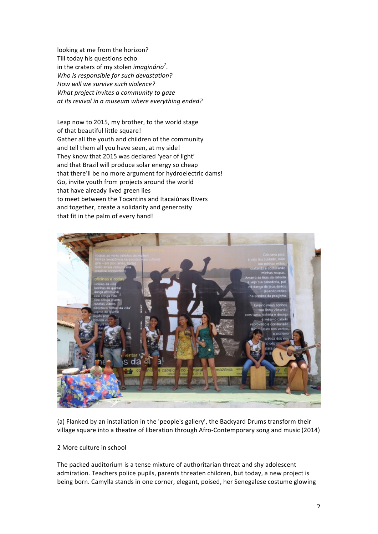looking at me from the horizon? Till today his questions echo in the craters of my stolen *imaginário*<sup>7</sup>. *Who is responsible for such devastation? How will we survive such violence? What project invites a community to gaze* at its revival in a museum where everything ended?

Leap now to 2015, my brother, to the world stage of that beautiful little square! Gather all the youth and children of the community and tell them all you have seen, at my side! They know that 2015 was declared 'year of light' and that Brazil will produce solar energy so cheap that there'll be no more argument for hydroelectric dams! Go, invite youth from projects around the world that have already lived green lies to meet between the Tocantins and Itacaiúnas Rivers and together, create a solidarity and generosity that fit in the palm of every hand!



(a) Flanked by an installation in the 'people's gallery', the Backyard Drums transform their village square into a theatre of liberation through Afro-Contemporary song and music (2014)

2 More culture in school

The packed auditorium is a tense mixture of authoritarian threat and shy adolescent admiration. Teachers police pupils, parents threaten children, but today, a new project is being born. Camylla stands in one corner, elegant, poised, her Senegalese costume glowing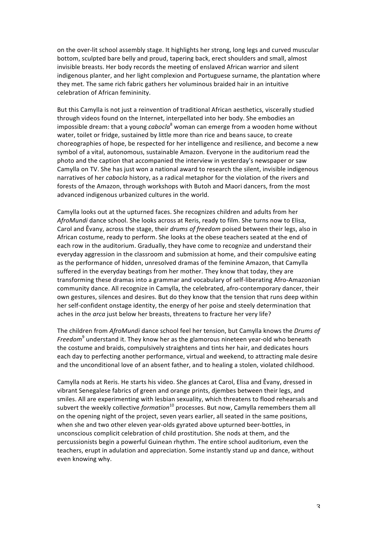on the over-lit school assembly stage. It highlights her strong, long legs and curved muscular bottom, sculpted bare belly and proud, tapering back, erect shoulders and small, almost invisible breasts. Her body records the meeting of enslaved African warrior and silent indigenous planter, and her light complexion and Portuguese surname, the plantation where they met. The same rich fabric gathers her voluminous braided hair in an intuitive celebration of African femininity.

But this Camylla is not just a reinvention of traditional African aesthetics, viscerally studied through videos found on the Internet, interpellated into her body. She embodies an impossible dream: that a young *cabocla*<sup>8</sup> woman can emerge from a wooden home without water, toilet or fridge, sustained by little more than rice and beans sauce, to create choreographies of hope, be respected for her intelligence and resilience, and become a new symbol of a vital, autonomous, sustainable Amazon. Everyone in the auditorium read the photo and the caption that accompanied the interview in yesterday's newspaper or saw Camylla on TV. She has just won a national award to research the silent, invisible indigenous narratives of her *cabocla* history, as a radical metaphor for the violation of the rivers and forests of the Amazon, through workshops with Butoh and Maori dancers, from the most advanced indigenous urbanized cultures in the world.

Camylla looks out at the upturned faces. She recognizes children and adults from her *AfroMundi* dance school. She looks across at Reris, ready to film. She turns now to Elisa, Carol and Êvany, across the stage, their *drums of freedom* poised between their legs, also in African costume, ready to perform. She looks at the obese teachers seated at the end of each row in the auditorium. Gradually, they have come to recognize and understand their everyday aggression in the classroom and submission at home, and their compulsive eating as the performance of hidden, unresolved dramas of the feminine Amazon, that Camylla suffered in the everyday beatings from her mother. They know that today, they are transforming these dramas into a grammar and vocabulary of self-liberating Afro-Amazonian community dance. All recognize in Camylla, the celebrated, afro-contemporary dancer, their own gestures, silences and desires. But do they know that the tension that runs deep within her self-confident onstage identity, the energy of her poise and steely determination that aches in the *arca* just below her breasts, threatens to fracture her very life?

The children from *AfroMundi* dance school feel her tension, but Camylla knows the *Drums* of *Freedom*<sup>9</sup> understand it. They know her as the glamorous nineteen year-old who beneath the costume and braids, compulsively straightens and tints her hair, and dedicates hours each day to perfecting another performance, virtual and weekend, to attracting male desire and the unconditional love of an absent father, and to healing a stolen, violated childhood.

Camylla nods at Reris. He starts his video. She glances at Carol, Elisa and Êvany, dressed in vibrant Senegalese fabrics of green and orange prints, djembes between their legs, and smiles. All are experimenting with lesbian sexuality, which threatens to flood rehearsals and subvert the weekly collective *formation*<sup>10</sup> processes. But now, Camylla remembers them all on the opening night of the project, seven years earlier, all seated in the same positions, when she and two other eleven year-olds gyrated above upturned beer-bottles, in unconscious complicit celebration of child prostitution. She nods at them, and the percussionists begin a powerful Guinean rhythm. The entire school auditorium, even the teachers, erupt in adulation and appreciation. Some instantly stand up and dance, without even knowing why.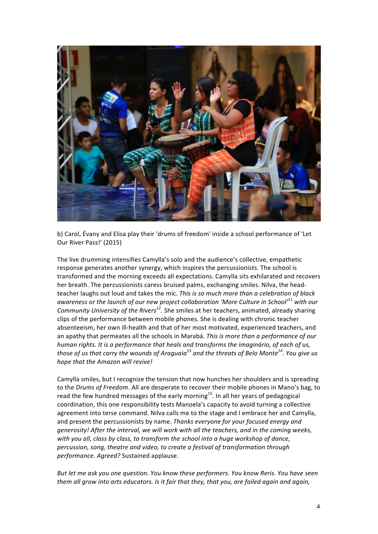

b) Carol, Évany and Elisa play their 'drums of freedom' inside a school performance of 'Let Our River Pass!' (2015)

The live drumming intensifies Camylla's solo and the audience's collective, empathetic response generates another synergy, which inspires the percussionists. The school is transformed and the morning exceeds all expectations. Camylla sits exhilarated and recovers her breath. The percussionists caress bruised palms, exchanging smiles. Nilva, the headteacher laughs out loud and takes the mic. This is so much more than a celebration of black awareness or the launch of our new project collaboration 'More Culture in School<sup>'11</sup> with our *Community University of the Rivers*<sup>12</sup>. She smiles at her teachers, animated, already sharing clips of the performance between mobile phones. She is dealing with chronic teacher absenteeism, her own ill-health and that of her most motivated, experienced teachers, and an apathy that permeates all the schools in Marabá. This is more than a performance of our *human rights. It is a performance that heals and transforms the imaginário, of each of us, those of us that carry the wounds of Araguaia*<sup>13</sup> and the threats of Belo Monte<sup>14</sup>. You give us *hope that the Amazon will revive!* 

Camylla smiles, but I recognize the tension that now hunches her shoulders and is spreading to the *Drums of Freedom*. All are desperate to recover their mobile phones in Mano's bag, to read the few hundred messages of the early morning<sup>15</sup>. In all her years of pedagogical coordination, this one responsibility tests Manoela's capacity to avoid turning a collective agreement into terse command. Nilva calls me to the stage and I embrace her and Camylla, and present the percussionists by name. *Thanks everyone for your focused energy and generosity!* After the interval, we will work with all the teachers, and in the coming weeks, with you all, class by class, to transform the school into a huge workshop of dance, percussion, song, theatre and video, to create a festival of transformation through *performance. Agreed?* Sustained applause.

*But let me ask you one question. You know these performers. You know Reris. You have seen them all grow into arts educators. Is it fair that they, that you, are failed again and again,*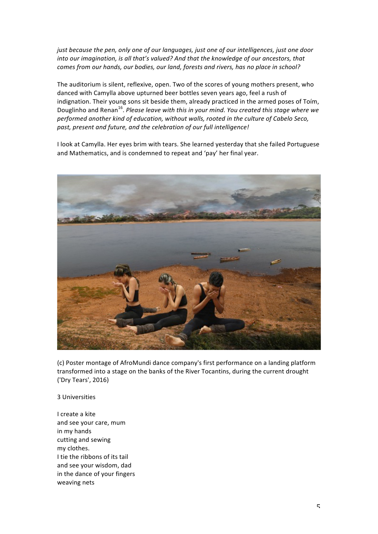*just because the pen, only one of our languages, just one of our intelligences, just one door* into our imagination, is all that's valued? And that the knowledge of our ancestors, that *comes from our hands, our bodies, our land, forests and rivers, has no place in school?* 

The auditorium is silent, reflexive, open. Two of the scores of young mothers present, who danced with Camylla above upturned beer bottles seven years ago, feel a rush of indignation. Their young sons sit beside them, already practiced in the armed poses of Toím, Douglinho and Renan<sup>16</sup>. *Please leave with this in your mind. You created this stage where we* performed another kind of education, without walls, rooted in the culture of Cabelo Seco, past, present and future, and the celebration of our full intelligence!

I look at Camylla. Her eyes brim with tears. She learned yesterday that she failed Portuguese and Mathematics, and is condemned to repeat and 'pay' her final year.



(c) Poster montage of AfroMundi dance company's first performance on a landing platform transformed into a stage on the banks of the River Tocantins, during the current drought ('Dry Tears', 2016)

3 Universities

I create a kite and see your care, mum in my hands cutting and sewing my clothes. I tie the ribbons of its tail and see your wisdom, dad in the dance of your fingers weaving nets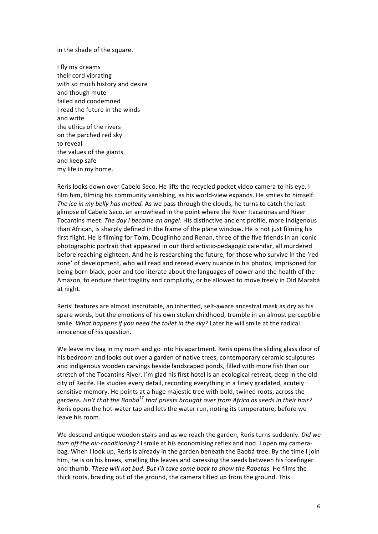in the shade of the square.

I fly my dreams their cord vibrating with so much history and desire and though mute failed and condemned I read the future in the winds and write the ethics of the rivers on the parched red sky to reveal the values of the giants and keep safe my life in my home.

Reris looks down over Cabelo Seco. He lifts the recycled pocket video camera to his eye. I film him, filming his community vanishing, as his world-view expands. He smiles to himself. The ice in my belly has melted. As we pass through the clouds, he turns to catch the last glimpse of Cabelo Seco, an arrowhead in the point where the River Itacaiúnas and River Tocantins meet. The day I became an angel. His distinctive ancient profile, more Indigenous than African, is sharply defined in the frame of the plane window. He is not just filming his first flight. He is filming for Toím, Douglinho and Renan, three of the five friends in an iconic photographic portrait that appeared in our third artistic-pedagogic calendar, all murdered before reaching eighteen. And he is researching the future, for those who survive in the 'red zone' of development, who will read and reread every nuance in his photos, imprisoned for being born black, poor and too literate about the languages of power and the health of the Amazon, to endure their fragility and complicity, or be allowed to move freely in Old Marabá at night.

Reris' features are almost inscrutable, an inherited, self-aware ancestral mask as dry as his spare words, but the emotions of his own stolen childhood, tremble in an almost perceptible smile. What happens if you need the toilet in the sky? Later he will smile at the radical innocence of his question.

We leave my bag in my room and go into his apartment. Reris opens the sliding glass door of his bedroom and looks out over a garden of native trees, contemporary ceramic sculptures and indigenous wooden carvings beside landscaped ponds, filled with more fish than our stretch of the Tocantins River. I'm glad his first hotel is an ecological retreat, deep in the old city of Recife. He studies every detail, recording everything in a finely gradated, acutely sensitive memory. He points at a huge majestic tree with bold, twined roots, across the gardens. *Isn't that the Baobá*<sup>17</sup> *that priests brought over from Africa as seeds in their hair?* Reris opens the hot-water tap and lets the water run, noting its temperature, before we leave his room.

We descend antique wooden stairs and as we reach the garden, Reris turns suddenly. *Did we turn* off the air-conditioning? I smile at his economising reflex and nod. I open my camerabag. When I look up, Reris is already in the garden beneath the Baobá tree. By the time I join him, he is on his knees, smelling the leaves and caressing the seeds between his forefinger and thumb. *These will not bud. But I'll take some back to show the Rabetas.* He films the thick roots, braiding out of the ground, the camera tilted up from the ground. This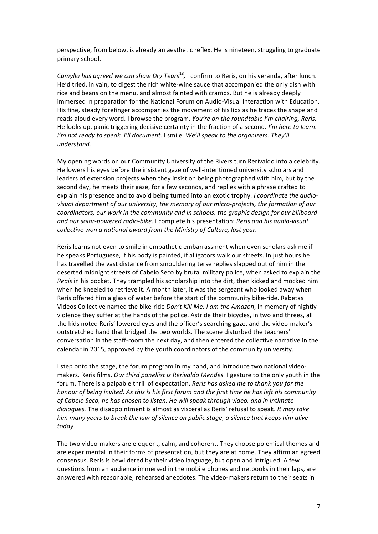perspective, from below, is already an aesthetic reflex. He is nineteen, struggling to graduate primary school.

*Camylla has agreed we can show Dry Tears*<sup>18</sup>, I confirm to Reris, on his veranda, after lunch. He'd tried, in vain, to digest the rich white-wine sauce that accompanied the only dish with rice and beans on the menu, and almost fainted with cramps. But he is already deeply immersed in preparation for the National Forum on Audio-Visual Interaction with Education. His fine, steady forefinger accompanies the movement of his lips as he traces the shape and reads aloud every word. I browse the program. *You're on the roundtable I'm chairing, Reris.* He looks up, panic triggering decisive certainty in the fraction of a second. *I'm here to learn. I'm not ready to speak. I'll document.* I smile. We'll speak to the organizers. They'll *understand.*

My opening words on our Community University of the Rivers turn Rerivaldo into a celebrity. He lowers his eyes before the insistent gaze of well-intentioned university scholars and leaders of extension projects when they insist on being photographed with him, but by the second day, he meets their gaze, for a few seconds, and replies with a phrase crafted to explain his presence and to avoid being turned into an exotic trophy. *I coordinate the audio*visual department of our university, the memory of our micro-projects, the formation of our *coordinators, our work in the community and in schools, the graphic design for our billboard* and our solar-powered radio-bike. I complete his presentation: *Reris and his audio-visual* collective won a national award from the Ministry of Culture, last year.

Reris learns not even to smile in empathetic embarrassment when even scholars ask me if he speaks Portuguese, if his body is painted, if alligators walk our streets. In just hours he has travelled the vast distance from smouldering terse replies slapped out of him in the deserted midnight streets of Cabelo Seco by brutal military police, when asked to explain the *Reais* in his pocket. They trampled his scholarship into the dirt, then kicked and mocked him when he kneeled to retrieve it. A month later, it was the sergeant who looked away when Reris offered him a glass of water before the start of the community bike-ride. Rabetas Videos Collective named the bike-ride *Don't Kill Me: I am the Amazon*, in memory of nightly violence they suffer at the hands of the police. Astride their bicycles, in two and threes, all the kids noted Reris' lowered eves and the officer's searching gaze, and the video-maker's outstretched hand that bridged the two worlds. The scene disturbed the teachers' conversation in the staff-room the next day, and then entered the collective narrative in the calendar in 2015, approved by the youth coordinators of the community university.

I step onto the stage, the forum program in my hand, and introduce two national videomakers. Reris films. *Our third panellist is Rerivaldo Mendes*. I gesture to the only youth in the forum. There is a palpable thrill of expectation. *Reris has asked me to thank you for the honour* of being invited. As this is his first forum and the first time he has left his community of Cabelo Seco, he has chosen to listen. He will speak through video, and in intimate *dialogues.* The disappointment is almost as visceral as Reris' refusal to speak. It may take *him* many years to break the law of silence on public stage, a silence that keeps him alive *today.* 

The two video-makers are eloquent, calm, and coherent. They choose polemical themes and are experimental in their forms of presentation, but they are at home. They affirm an agreed consensus. Reris is bewildered by their video language, but open and intrigued. A few questions from an audience immersed in the mobile phones and netbooks in their laps, are answered with reasonable, rehearsed anecdotes. The video-makers return to their seats in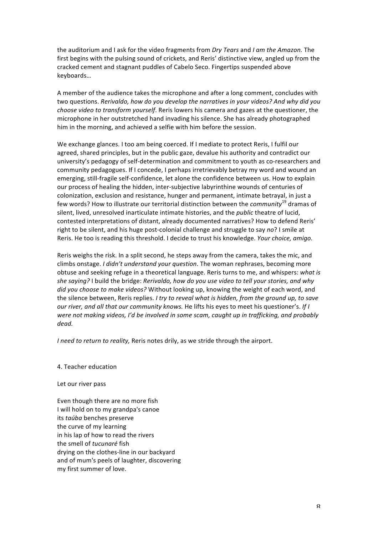the auditorium and I ask for the video fragments from *Dry Tears* and *I am the Amazon*. The first begins with the pulsing sound of crickets, and Reris' distinctive view, angled up from the cracked cement and stagnant puddles of Cabelo Seco. Fingertips suspended above keyboards… 

A member of the audience takes the microphone and after a long comment, concludes with two questions. *Rerivaldo, how do you develop the narratives in your videos? And why did you choose video to transform yourself.* Reris lowers his camera and gazes at the questioner, the microphone in her outstretched hand invading his silence. She has already photographed him in the morning, and achieved a selfie with him before the session.

We exchange glances. I too am being coerced. If I mediate to protect Reris, I fulfil our agreed, shared principles, but in the public gaze, devalue his authority and contradict our university's pedagogy of self-determination and commitment to youth as co-researchers and community pedagogues. If I concede, I perhaps irretrievably betray my word and wound an emerging, still-fragile self-confidence, let alone the confidence between us. How to explain our process of healing the hidden, inter-subjective labyrinthine wounds of centuries of colonization, exclusion and resistance, hunger and permanent, intimate betrayal, in just a few words? How to illustrate our territorial distinction between the *community*<sup>19</sup> dramas of silent, lived, unresolved inarticulate intimate histories, and the *public* theatre of lucid, contested interpretations of distant, already documented narratives? How to defend Reris' right to be silent, and his huge post-colonial challenge and struggle to say no? I smile at Reris. He too is reading this threshold. I decide to trust his knowledge. *Your choice, amigo.* 

Reris weighs the risk. In a split second, he steps away from the camera, takes the mic, and climbs onstage. *I didn't understand your question*. The woman rephrases, becoming more obtuse and seeking refuge in a theoretical language. Reris turns to me, and whispers: what is she saying? I build the bridge: *Rerivaldo, how do you use video to tell your stories, and why did you choose to make videos?* Without looking up, knowing the weight of each word, and the silence between, Reris replies. *I try to reveal what is hidden, from the ground up, to save our river, and all that our community knows.* He lifts his eyes to meet his questioner's. If I were not making videos, I'd be involved in some scam, caught up in trafficking, and probably *dead.*

*I* need to return to reality, Reris notes drily, as we stride through the airport.

4. Teacher education

Let our river pass

Even though there are no more fish I will hold on to my grandpa's canoe its taúba benches preserve the curve of my learning in his lap of how to read the rivers the smell of *tucunaré* fish drying on the clothes-line in our backyard and of mum's peels of laughter, discovering my first summer of love.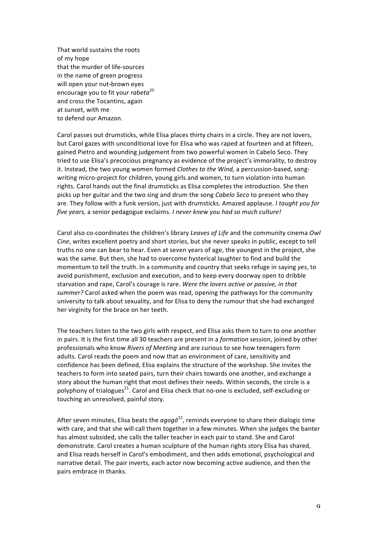That world sustains the roots of my hope that the murder of life-sources in the name of green progress will open your nut-brown eyes encourage you to fit your *rabeta*<sup>20</sup> and cross the Tocantins, again at sunset, with me to defend our Amazon.

Carol passes out drumsticks, while Elisa places thirty chairs in a circle. They are not lovers, but Carol gazes with unconditional love for Elisa who was raped at fourteen and at fifteen, gained Pietro and wounding judgement from two powerful women in Cabelo Seco. They tried to use Elisa's precocious pregnancy as evidence of the project's immorality, to destroy it. Instead, the two young women formed *Clothes to the Wind*, a percussion-based, songwriting micro-project for children, young girls and women, to turn violation into human rights. Carol hands out the final drumsticks as Elisa completes the introduction. She then picks up her guitar and the two sing and drum the song *Cabelo Seco* to present who they are. They follow with a funk version, just with drumsticks. Amazed applause. *I taught you for five years,* a senior pedagogue exclaims. *I never knew you had so much culture!* 

Carol also co-coordinates the children's library *Leaves of Life* and the community cinema *Owl Cine*, writes excellent poetry and short stories, but she never speaks in public, except to tell truths no one can bear to hear. Even at seven years of age, the youngest in the project, she was the same. But then, she had to overcome hysterical laughter to find and build the momentum to tell the truth. In a community and country that seeks refuge in saying yes, to avoid punishment, exclusion and execution, and to keep every doorway open to dribble starvation and rape, Carol's courage is rare. Were the lovers active or passive, in that summer? Carol asked when the poem was read, opening the pathways for the community university to talk about sexuality, and for Elisa to deny the rumour that she had exchanged her virginity for the brace on her teeth.

The teachers listen to the two girls with respect, and Elisa asks them to turn to one another in pairs. It is the first time all 30 teachers are present in a *formation* session, joined by other professionals who know *Rivers of Meeting* and are curious to see how teenagers form adults. Carol reads the poem and now that an environment of care, sensitivity and confidence has been defined, Elisa explains the structure of the workshop. She invites the teachers to form into seated pairs, turn their chairs towards one another, and exchange a story about the human right that most defines their needs. Within seconds, the circle is a polyphony of trialogues<sup>21</sup>. Carol and Elisa check that no-one is excluded, self-excluding or touching an unresolved, painful story.

After seven minutes, Elisa beats the  $aqoq\delta^{22}$ , reminds everyone to share their dialogic time with care, and that she will call them together in a few minutes. When she judges the banter has almost subsided, she calls the taller teacher in each pair to stand. She and Carol demonstrate. Carol creates a human sculpture of the human rights story Elisa has shared, and Elisa reads herself in Carol's embodiment, and then adds emotional, psychological and narrative detail. The pair inverts, each actor now becoming active audience, and then the pairs embrace in thanks.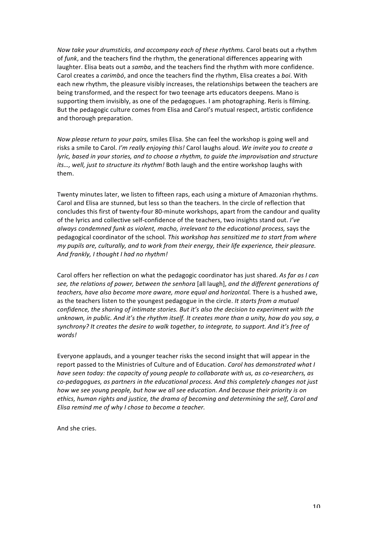*Now take your drumsticks, and accompany each of these rhythms.* Carol beats out a rhythm of *funk*, and the teachers find the rhythm, the generational differences appearing with laughter. Elisa beats out a *samba*, and the teachers find the rhythm with more confidence. Carol creates a *carimbó*, and once the teachers find the rhythm, Elisa creates a *boi*. With each new rhythm, the pleasure visibly increases, the relationships between the teachers are being transformed, and the respect for two teenage arts educators deepens. Mano is supporting them invisibly, as one of the pedagogues. I am photographing. Reris is filming. But the pedagogic culture comes from Elisa and Carol's mutual respect, artistic confidence and thorough preparation.

*Now please return to your pairs,* smiles Elisa. She can feel the workshop is going well and risks a smile to Carol. *I'm really enjoying this!* Carol laughs aloud. We invite you to create a *lyric, based in your stories, and to choose a rhythm, to quide the improvisation and structure its...,* well, just to structure its rhythm! Both laugh and the entire workshop laughs with them.

Twenty minutes later, we listen to fifteen raps, each using a mixture of Amazonian rhythms. Carol and Elisa are stunned, but less so than the teachers. In the circle of reflection that concludes this first of twenty-four 80-minute workshops, apart from the candour and quality of the lyrics and collective self-confidence of the teachers, two insights stand out. *I've* always condemned funk as violent, macho, irrelevant to the educational process, says the pedagogical coordinator of the school. This workshop has sensitized me to start from where *my* pupils are, culturally, and to work from their energy, their life experience, their pleasure. And frankly, I thought I had no rhythm!

Carol offers her reflection on what the pedagogic coordinator has just shared. As far as I can see, the relations of power, between the senhora [all laugh], and the different generations of *teachers, have also become more aware, more equal and horizontal.* There is a hushed awe, as the teachers listen to the youngest pedagogue in the circle. *It starts from a mutual confidence, the sharing of intimate stories. But it's also the decision to experiment with the* unknown, in public. And it's the rhythm itself. It creates more than a unity, how do you say, a synchrony? It creates the desire to walk together, to integrate, to support. And it's free of *words!*

Everyone applauds, and a younger teacher risks the second insight that will appear in the report passed to the Ministries of Culture and of Education. *Carol has demonstrated what I have seen today: the capacity of young people to collaborate with us, as co-researchers, as co-pedagogues, as partners in the educational process. And this completely changes not just* how we see young people, but how we all see education. And because their priority is on ethics, human rights and justice, the drama of becoming and determining the self, Carol and *Elisa remind me of why I chose to become a teacher.* 

And she cries.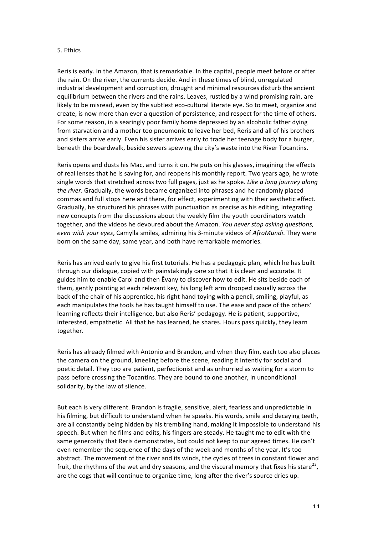### 5. Ethics

Reris is early. In the Amazon, that is remarkable. In the capital, people meet before or after the rain. On the river, the currents decide. And in these times of blind, unregulated industrial development and corruption, drought and minimal resources disturb the ancient equilibrium between the rivers and the rains. Leaves, rustled by a wind promising rain, are likely to be misread, even by the subtlest eco-cultural literate eye. So to meet, organize and create, is now more than ever a question of persistence, and respect for the time of others. For some reason, in a searingly poor family home depressed by an alcoholic father dying from starvation and a mother too pneumonic to leave her bed, Reris and all of his brothers and sisters arrive early. Even his sister arrives early to trade her teenage body for a burger, beneath the boardwalk, beside sewers spewing the city's waste into the River Tocantins.

Reris opens and dusts his Mac, and turns it on. He puts on his glasses, imagining the effects of real lenses that he is saving for, and reopens his monthly report. Two years ago, he wrote single words that stretched across two full pages, just as he spoke. *Like a long journey along the river*. Gradually, the words became organized into phrases and he randomly placed commas and full stops here and there, for effect, experimenting with their aesthetic effect. Gradually, he structured his phrases with punctuation as precise as his editing, integrating new concepts from the discussions about the weekly film the youth coordinators watch together, and the videos he devoured about the Amazon. *You never stop asking questions, even* with your eyes, Camylla smiles, admiring his 3-minute videos of *AfroMundi*. They were born on the same day, same year, and both have remarkable memories.

Reris has arrived early to give his first tutorials. He has a pedagogic plan, which he has built through our dialogue, copied with painstakingly care so that it is clean and accurate. It guides him to enable Carol and then Êvany to discover how to edit. He sits beside each of them, gently pointing at each relevant key, his long left arm drooped casually across the back of the chair of his apprentice, his right hand toying with a pencil, smiling, playful, as each manipulates the tools he has taught himself to use. The ease and pace of the others' learning reflects their intelligence, but also Reris' pedagogy. He is patient, supportive, interested, empathetic. All that he has learned, he shares. Hours pass quickly, they learn together. 

Reris has already filmed with Antonio and Brandon, and when they film, each too also places the camera on the ground, kneeling before the scene, reading it intently for social and poetic detail. They too are patient, perfectionist and as unhurried as waiting for a storm to pass before crossing the Tocantins. They are bound to one another, in unconditional solidarity, by the law of silence.

But each is very different. Brandon is fragile, sensitive, alert, fearless and unpredictable in his filming, but difficult to understand when he speaks. His words, smile and decaying teeth, are all constantly being hidden by his trembling hand, making it impossible to understand his speech. But when he films and edits, his fingers are steady. He taught me to edit with the same generosity that Reris demonstrates, but could not keep to our agreed times. He can't even remember the sequence of the days of the week and months of the year. It's too abstract. The movement of the river and its winds, the cycles of trees in constant flower and fruit, the rhythms of the wet and dry seasons, and the visceral memory that fixes his stare<sup>23</sup>, are the cogs that will continue to organize time, long after the river's source dries up.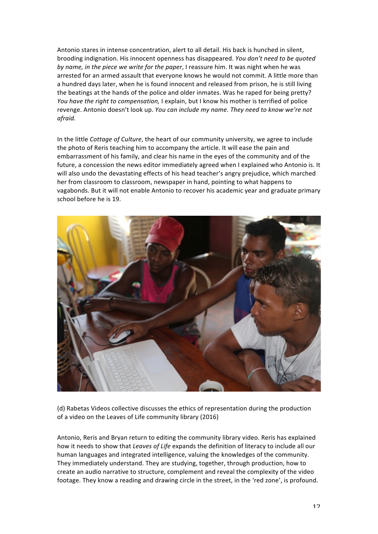Antonio stares in intense concentration, alert to all detail. His back is hunched in silent, brooding indignation. His innocent openness has disappeared. You don't need to be quoted *by name, in the piece we write for the paper*, I reassure him. It was night when he was arrested for an armed assault that everyone knows he would not commit. A little more than a hundred days later, when he is found innocent and released from prison, he is still living the beatings at the hands of the police and older inmates. Was he raped for being pretty? *You have the right to compensation,* I explain, but I know his mother is terrified of police revenge. Antonio doesn't look up. *You can include my name. They need to know we're not afraid.* 

In the little Cottage of Culture, the heart of our community university, we agree to include the photo of Reris teaching him to accompany the article. It will ease the pain and embarrassment of his family, and clear his name in the eyes of the community and of the future, a concession the news editor immediately agreed when I explained who Antonio is. It will also undo the devastating effects of his head teacher's angry prejudice, which marched her from classroom to classroom, newspaper in hand, pointing to what happens to vagabonds. But it will not enable Antonio to recover his academic year and graduate primary school before he is 19.



(d) Rabetas Videos collective discusses the ethics of representation during the production of a video on the Leaves of Life community library (2016)

Antonio, Reris and Bryan return to editing the community library video. Reris has explained how it needs to show that *Leaves of Life* expands the definition of literacy to include all our human languages and integrated intelligence, valuing the knowledges of the community. They immediately understand. They are studying, together, through production, how to create an audio narrative to structure, complement and reveal the complexity of the video footage. They know a reading and drawing circle in the street, in the 'red zone', is profound.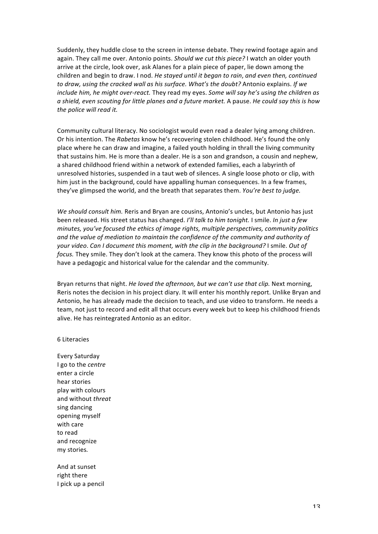Suddenly, they huddle close to the screen in intense debate. They rewind footage again and again. They call me over. Antonio points. Should we cut this piece? I watch an older youth arrive at the circle, look over, ask Alanes for a plain piece of paper, lie down among the children and begin to draw. I nod. *He stayed until it began to rain, and even then, continued* to draw, using the cracked wall as his surface. What's the doubt? Antonio explains. If we *include him, he might over-react.* They read my eyes. *Some will say he's using the children as* a shield, even scouting for little planes and a future market. A pause. He could say this is how the police will read it.

Community cultural literacy. No sociologist would even read a dealer lying among children. Or his intention. The *Rabetas* know he's recovering stolen childhood. He's found the only place where he can draw and imagine, a failed youth holding in thrall the living community that sustains him. He is more than a dealer. He is a son and grandson, a cousin and nephew, a shared childhood friend within a network of extended families, each a labyrinth of unresolved histories, suspended in a taut web of silences. A single loose photo or clip, with him just in the background, could have appalling human consequences. In a few frames, they've glimpsed the world, and the breath that separates them. *You're best to judge*.

We should consult him. Reris and Bryan are cousins, Antonio's uncles, but Antonio has just been released. His street status has changed. *I'll talk to him tonight*. I smile. *In just a few* minutes, you've focused the ethics of image rights, multiple perspectives, community politics and the value of mediation to maintain the confidence of the community and authority of *your* video. Can I document this moment, with the clip in the background? I smile. Out of *focus.* They smile. They don't look at the camera. They know this photo of the process will have a pedagogic and historical value for the calendar and the community.

Bryan returns that night. *He loved the afternoon, but we can't use that clip.* Next morning, Reris notes the decision in his project diary. It will enter his monthly report. Unlike Bryan and Antonio, he has already made the decision to teach, and use video to transform. He needs a team, not just to record and edit all that occurs every week but to keep his childhood friends alive. He has reintegrated Antonio as an editor.

### 6 Literacies

Every Saturday I go to the *centre* enter a circle hear stories play with colours and without *threat* sing dancing opening myself with care to read and recognize my stories*.*

And at sunset right there I pick up a pencil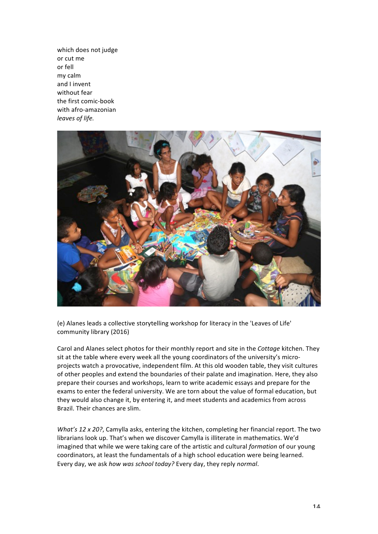which does not judge or cut me or fell my calm and I invent without fear the first comic-book with afro-amazonian *leaves* of life.



(e) Alanes leads a collective storytelling workshop for literacy in the 'Leaves of Life' community library (2016)

Carol and Alanes select photos for their monthly report and site in the *Cottage* kitchen. They sit at the table where every week all the young coordinators of the university's microprojects watch a provocative, independent film. At this old wooden table, they visit cultures of other peoples and extend the boundaries of their palate and imagination. Here, they also prepare their courses and workshops, learn to write academic essays and prepare for the exams to enter the federal university. We are torn about the value of formal education, but they would also change it, by entering it, and meet students and academics from across Brazil. Their chances are slim.

*What's 12 x 20?*, Camylla asks, entering the kitchen, completing her financial report. The two librarians look up. That's when we discover Camylla is illiterate in mathematics. We'd imagined that while we were taking care of the artistic and cultural *formation* of our young coordinators, at least the fundamentals of a high school education were being learned. Every day, we ask *how was school today?* Every day, they reply *normal*.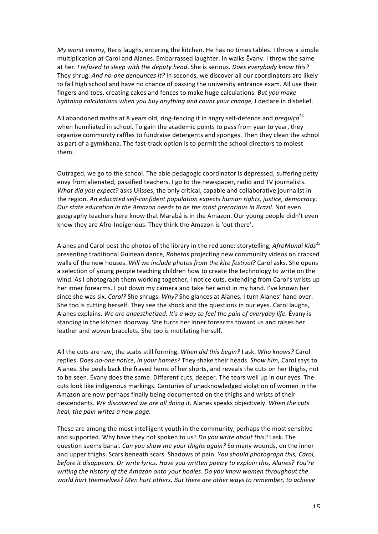*My worst enemy,* Reris laughs, entering the kitchen. He has no times tables. I throw a simple multiplication at Carol and Alanes. Embarrassed laughter. In walks Êvany. I throw the same at her. *I* refused to sleep with the deputy head. She is serious. Does everybody know this? They shrug. *And no-one denounces it?* In seconds, we discover all our coordinators are likely to fail high school and have no chance of passing the university entrance exam. All use their fingers and toes, creating cakes and fences to make huge calculations. *But you make lightning calculations when you buy anything and count your change, I declare in disbelief.* 

All abandoned maths at 8 years old, ring-fencing it in angry self-defence and *preguica*<sup>24</sup> when humiliated in school. To gain the academic points to pass from year to year, they organize community raffles to fundraise detergents and sponges. Then they clean the school as part of a gymkhana. The fast-track option is to permit the school directors to molest them. 

Outraged, we go to the school. The able pedagogic coordinator is depressed, suffering petty envy from alienated, passified teachers. I go to the newspaper, radio and TV journalists. *What did you expect?* asks Ulisses, the only critical, capable and collaborative journalist in the region. An educated self-confident population expects human rights, justice, democracy. *Our state education in the Amazon needs to be the most precarious in Brazil.* Not even geography teachers here know that Marabá is in the Amazon. Our young people didn't even know they are Afro-Indigenous. They think the Amazon is 'out there'.

Alanes and Carol post the photos of the library in the red zone: storytelling, *AfroMundi Kids*<sup>25</sup> presenting traditional Guinean dance, *Rabetas* projecting new community videos on cracked walls of the new houses. *Will we include photos from the kite festival?* Carol asks. She opens a selection of young people teaching children how to create the technology to write on the wind. As I photograph them working together, I notice cuts, extending from Carol's wrists up her inner forearms. I put down my camera and take her wrist in my hand. I've known her since she was six. *Carol?* She shrugs. *Why?* She glances at Alanes. I turn Alanes' hand over. She too is cutting herself. They see the shock and the questions in our eyes. Carol laughs, Alanes explains. We are anaesthetized. It's a way to feel the pain of everyday life. Êvany is standing in the kitchen doorway. She turns her inner forearms toward us and raises her leather and woven bracelets. She too is mutilating herself.

All the cuts are raw, the scabs still forming. When did this begin? I ask. Who knows? Carol replies. *Does no-one notice, in your homes?* They shake their heads. *Show him,* Carol says to Alanes. She peels back the frayed hems of her shorts, and reveals the cuts on her thighs, not to be seen. Évany does the same. Different cuts, deeper. The tears well up in our eyes. The cuts look like indigenous markings. Centuries of unacknowledged violation of women in the Amazon are now perhaps finally being documented on the thighs and wrists of their descendants. We discovered we are all doing it. Alanes speaks objectively. When the cuts *heal, the pain writes a new page.* 

These are among the most intelligent youth in the community, perhaps the most sensitive and supported. Why have they not spoken to us? *Do you write about this?* I ask. The question seems banal. *Can you show me your thighs again?* So many wounds, on the inner and upper thighs. Scars beneath scars. Shadows of pain. *You should photograph this, Carol, before it disappears. Or write lyrics. Have you written poetry to explain this, Alanes? You're* writing the history of the Amazon onto your bodies. Do you know women throughout the world hurt themselves? Men hurt others. But there are other ways to remember, to achieve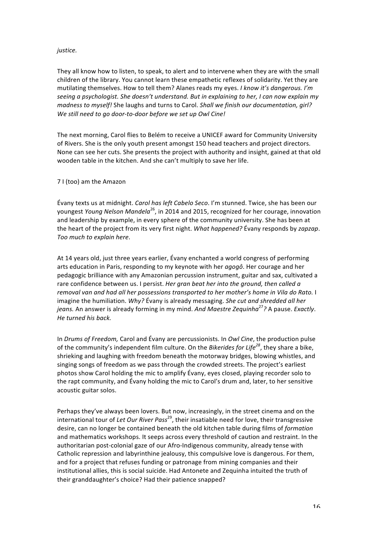## *justice.*

They all know how to listen, to speak, to alert and to intervene when they are with the small children of the library. You cannot learn these empathetic reflexes of solidarity. Yet they are mutilating themselves. How to tell them? Alanes reads my eyes. *I know it's dangerous. I'm* seeing a psychologist. She doesn't understand. But in explaining to her, I can now explain my *madness to myself!* She laughs and turns to Carol. *Shall we finish our documentation, girl?* We still need to go door-to-door before we set up Owl Cine!

The next morning, Carol flies to Belém to receive a UNICEF award for Community University of Rivers. She is the only youth present amongst 150 head teachers and project directors. None can see her cuts. She presents the project with authority and insight, gained at that old wooden table in the kitchen. And she can't multiply to save her life.

## 7 I (too) am the Amazon

Évany texts us at midnight. *Carol has left Cabelo Seco*. I'm stunned. Twice, she has been our youngest *Young Nelson Mandela*<sup>26</sup>, in 2014 and 2015, recognized for her courage, innovation and leadership by example, in every sphere of the community university. She has been at the heart of the project from its very first night. *What happened?* Évany responds by zapzap. *Too much to explain here*. 

At 14 years old, just three years earlier, Évany enchanted a world congress of performing arts education in Paris, responding to my keynote with her agogô. Her courage and her pedagogic brilliance with any Amazonian percussion instrument, guitar and sax, cultivated a rare confidence between us. I persist. *Her gran beat her into the ground, then called a* removal van and had all her possessions transported to her mother's home in Vila do Rato. I imagine the humiliation. Why? Evany is already messaging. She cut and shredded all her *jeans.* An answer is already forming in my mind. And Maestre Zequinha<sup>27</sup>? A pause. *Exactly*. He turned his back.

In *Drums of Freedom,* Carol and Évany are percussionists. In *Owl Cine*, the production pulse of the community's independent film culture. On the *Bikerides for Life*<sup>28</sup>, they share a bike, shrieking and laughing with freedom beneath the motorway bridges, blowing whistles, and singing songs of freedom as we pass through the crowded streets. The project's earliest photos show Carol holding the mic to amplify Évany, eyes closed, playing recorder solo to the rapt community, and Évany holding the mic to Carol's drum and, later, to her sensitive acoustic guitar solos.

Perhaps they've always been lovers. But now, increasingly, in the street cinema and on the international tour of *Let Our River Pass*<sup>29</sup>, their insatiable need for love, their transgressive desire, can no longer be contained beneath the old kitchen table during films of *formation* and mathematics workshops. It seeps across every threshold of caution and restraint. In the authoritarian post-colonial gaze of our Afro-Indigenous community, already tense with Catholic repression and labyrinthine jealousy, this compulsive love is dangerous. For them, and for a project that refuses funding or patronage from mining companies and their institutional allies, this is social suicide. Had Antonete and Zequinha intuited the truth of their granddaughter's choice? Had their patience snapped?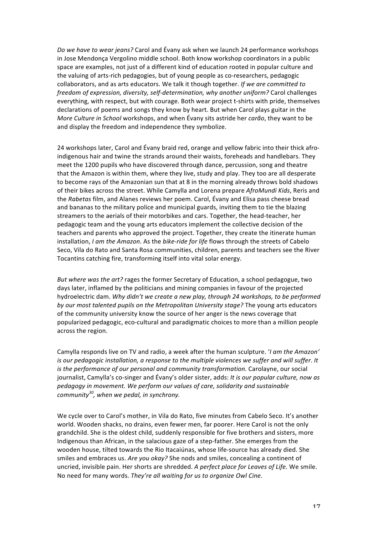*Do* we have to wear jeans? Carol and Évany ask when we launch 24 performance workshops in Jose Mendonça Vergolino middle school. Both know workshop coordinators in a public space are examples, not just of a different kind of education rooted in popular culture and the valuing of arts-rich pedagogies, but of young people as co-researchers, pedagogic collaborators, and as arts educators. We talk it though together. If we are committed to *freedom of expression, diversity, self-determination, why another uniform?* Carol challenges everything, with respect, but with courage. Both wear project t-shirts with pride, themselves declarations of poems and songs they know by heart. But when Carol plays guitar in the *More Culture in School* workshops, and when Évany sits astride her *carão*, they want to be and display the freedom and independence they symbolize.

24 workshops later, Carol and Évany braid red, orange and yellow fabric into their thick afroindigenous hair and twine the strands around their waists, foreheads and handlebars. They meet the 1200 pupils who have discovered through dance, percussion, song and theatre that the Amazon is within them, where they live, study and play. They too are all desperate to become rays of the Amazonian sun that at 8 in the morning already throws bold shadows of their bikes across the street. While Camylla and Lorena prepare AfroMundi Kids, Reris and the *Rabetas* film, and Alanes reviews her poem. Carol, Évany and Elisa pass cheese bread and bananas to the military police and municipal guards, inviting them to tie the blazing streamers to the aerials of their motorbikes and cars. Together, the head-teacher, her pedagogic team and the young arts educators implement the collective decision of the teachers and parents who approved the project. Together, they create the itinerate human installation, *I am the Amazon*. As the *bike-ride for life* flows through the streets of Cabelo Seco, Vila do Rato and Santa Rosa communities, children, parents and teachers see the River Tocantins catching fire, transforming itself into vital solar energy.

*But where was the art?* rages the former Secretary of Education, a school pedagogue, two days later, inflamed by the politicians and mining companies in favour of the projected hydroelectric dam. Why didn't we create a new play, through 24 workshops, to be performed by our most talented pupils on the Metropolitan University stage? The young arts educators of the community university know the source of her anger is the news coverage that popularized pedagogic, eco-cultural and paradigmatic choices to more than a million people across the region.

Camylla responds live on TV and radio, a week after the human sculpture. *'I am the Amazon' is* our pedagogic installation, a response to the multiple violences we suffer and will suffer. It *is* the performance of our personal and community transformation. Carolayne, our social journalist, Camylla's co-singer and Évany's older sister, adds: It is our popular culture, now as pedagogy in movement. We perform our values of care, solidarity and sustainable *community*<sup>30</sup>, when we pedal, in synchrony.

We cycle over to Carol's mother, in Vila do Rato, five minutes from Cabelo Seco. It's another world. Wooden shacks, no drains, even fewer men, far poorer. Here Carol is not the only grandchild. She is the oldest child, suddenly responsible for five brothers and sisters, more Indigenous than African, in the salacious gaze of a step-father. She emerges from the wooden house, tilted towards the Rio Itacaiúnas, whose life-source has already died. She smiles and embraces us. *Are you okay?* She nods and smiles, concealing a continent of uncried, invisible pain. Her shorts are shredded. A perfect place for Leaves of Life. We smile. No need for many words. They're all waiting for us to organize Owl Cine.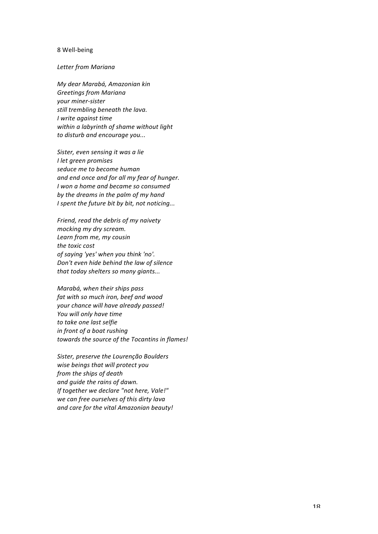### 8 Well-being

### *Letter from Mariana*

*My dear Marabá, Amazonian kin Greetings from Mariana your miner-sister still trembling beneath the lava. I write against time* within a labyrinth of shame without light *to disturb and encourage you...*

Sister, even sensing it was a lie *I let green promises seduce me to become human and end once and for all my fear of hunger. I won a home and became so consumed* by the dreams in the palm of my hand *I* spent the future bit by bit, not noticing...

*Friend, read the debris of my naivety mocking my dry scream.* Learn from me, my cousin the toxic cost *of saying 'yes' when you think 'no'.* Don't even hide behind the law of silence that today shelters so many giants...

*Marabá, when their ships pass* fat with so much iron, beef and wood *your chance will have already passed!* You will only have time *to take one last selfie in front of a boat rushing* towards the source of the Tocantins in flames!

*Sister, preserve the Lourenção Boulders wise beings that will protect you from the ships of death and guide the rains of dawn. If together we declare "not here, Vale!" we can free ourselves of this dirty lava and care for the vital Amazonian beauty!*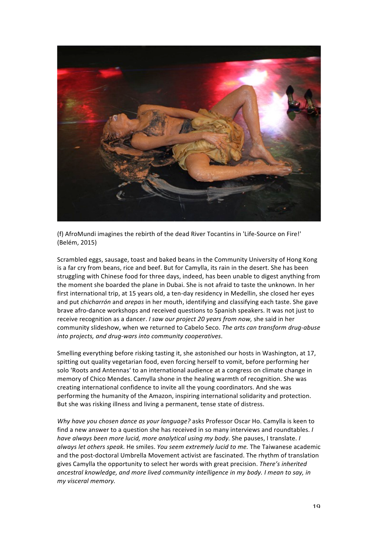

(f) AfroMundi imagines the rebirth of the dead River Tocantins in 'Life-Source on Fire!' (Belém, 2015)

Scrambled eggs, sausage, toast and baked beans in the Community University of Hong Kong is a far cry from beans, rice and beef. But for Camylla, its rain in the desert. She has been struggling with Chinese food for three days, indeed, has been unable to digest anything from the moment she boarded the plane in Dubai. She is not afraid to taste the unknown. In her first international trip, at 15 years old, a ten-day residency in Medellin, she closed her eyes and put *chicharrón* and *arepas* in her mouth, identifying and classifying each taste. She gave brave afro-dance workshops and received questions to Spanish speakers. It was not just to receive recognition as a dancer. *I saw our project 20 years from now,* she said in her community slideshow, when we returned to Cabelo Seco. The arts can transform drug-abuse into projects, and drug-wars into community cooperatives.

Smelling everything before risking tasting it, she astonished our hosts in Washington, at 17, spitting out quality vegetarian food, even forcing herself to vomit, before performing her solo 'Roots and Antennas' to an international audience at a congress on climate change in memory of Chico Mendes. Camylla shone in the healing warmth of recognition. She was creating international confidence to invite all the young coordinators. And she was performing the humanity of the Amazon, inspiring international solidarity and protection. But she was risking illness and living a permanent, tense state of distress.

*Why have you chosen dance as your language?* asks Professor Oscar Ho. Camylla is keen to find a new answer to a question she has received in so many interviews and roundtables. *I have always been more lucid, more analytical using my body.* She pauses, I translate. *I always let others speak.* He smiles. *You seem extremely lucid to me.* The Taiwanese academic and the post-doctoral Umbrella Movement activist are fascinated. The rhythm of translation gives Camylla the opportunity to select her words with great precision. There's inherited ancestral knowledge, and more lived community intelligence in my body. I mean to say, in *my visceral memory.*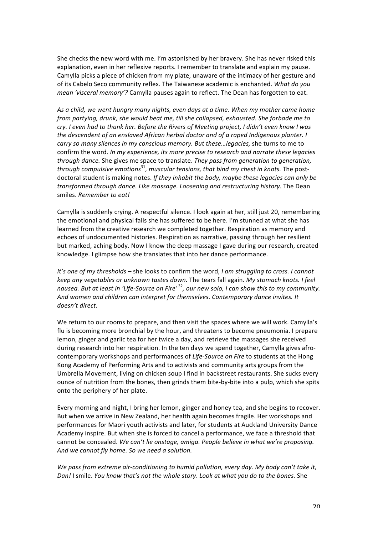She checks the new word with me. I'm astonished by her bravery. She has never risked this explanation, even in her reflexive reports. I remember to translate and explain my pause. Camylla picks a piece of chicken from my plate, unaware of the intimacy of her gesture and of its Cabelo Seco community reflex. The Taiwanese academic is enchanted. What do you *mean 'visceral memory'?* Camylla pauses again to reflect. The Dean has forgotten to eat.

As a child, we went hungry many nights, even days at a time. When my mother came home *from partying, drunk, she would beat me, till she collapsed, exhausted. She forbade me to cry.* I even had to thank her. Before the Rivers of Meeting project, I didn't even know I was the descendent of an enslaved African herbal doctor and of a raped Indigenous planter. I *carry* so many silences in my conscious memory. But these...legacies, she turns to me to confirm the word. *In my experience, its more precise to research and narrate these legacies through dance.* She gives me space to translate. They pass from generation to generation, *through compulsive emotions*<sup>31</sup>, muscular tensions, that bind my chest in knots. The postdoctoral student is making notes. If they inhabit the body, maybe these legacies can only be *transformed through dance. Like massage. Loosening and restructuring history.* The Dean smiles. *Remember to eat!* 

Camylla is suddenly crying. A respectful silence. I look again at her, still just 20, remembering the emotional and physical falls she has suffered to be here. I'm stunned at what she has learned from the creative research we completed together. Respiration as memory and echoes of undocumented histories. Respiration as narrative, passing through her resilient but marked, aching body. Now I know the deep massage I gave during our research, created knowledge. I glimpse how she translates that into her dance performance.

*It's* one of my thresholds – she looks to confirm the word, *I* am struggling to cross. I cannot *keep any vegetables or unknown tastes down.* The tears fall again. My stomach knots. I feel nausea. But at least in 'Life-Source on Fire'<sup>32</sup>, our new solo, I can show this to my community. And women and children can interpret for themselves. Contemporary dance invites. It *doesn't direct.*

We return to our rooms to prepare, and then visit the spaces where we will work. Camylla's flu is becoming more bronchial by the hour, and threatens to become pneumonia. I prepare lemon, ginger and garlic tea for her twice a day, and retrieve the massages she received during research into her respiration. In the ten days we spend together, Camylla gives afrocontemporary workshops and performances of *Life-Source on Fire* to students at the Hong Kong Academy of Performing Arts and to activists and community arts groups from the Umbrella Movement, living on chicken soup I find in backstreet restaurants. She sucks every ounce of nutrition from the bones, then grinds them bite-by-bite into a pulp, which she spits onto the periphery of her plate.

Every morning and night, I bring her lemon, ginger and honey tea, and she begins to recover. But when we arrive in New Zealand, her health again becomes fragile. Her workshops and performances for Maori youth activists and later, for students at Auckland University Dance Academy inspire. But when she is forced to cancel a performance, we face a threshold that cannot be concealed. We can't lie onstage, amiga. People believe in what we're proposing. And we cannot fly home. So we need a solution.

We pass from extreme air-conditioning to humid pollution, every day. My body can't take it, *Dan!* I smile. You know that's not the whole story. Look at what you do to the bones. She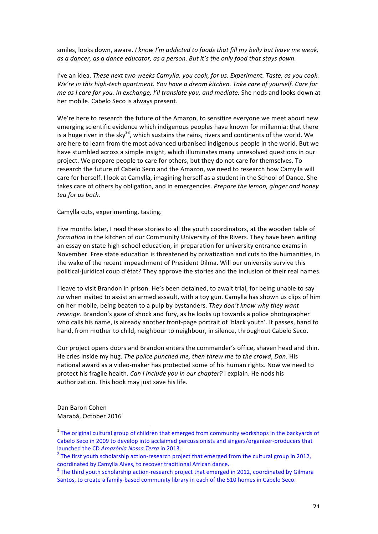smiles, looks down, aware. *I know I'm addicted to foods that fill my belly but leave me weak,* as a dancer, as a dance educator, as a person. But it's the only food that stays down.

I've an idea. These next two weeks Camylla, you cook, for us. Experiment. Taste, as you cook. We're in this high-tech apartment. You have a dream kitchen. Take care of yourself. Care for *me* as *I* care for you. In exchange, I'll translate you, and mediate. She nods and looks down at her mobile. Cabelo Seco is always present.

We're here to research the future of the Amazon, to sensitize everyone we meet about new emerging scientific evidence which indigenous peoples have known for millennia: that there is a huge river in the sky<sup>33</sup>, which sustains the rains, rivers and continents of the world. We are here to learn from the most advanced urbanised indigenous people in the world. But we have stumbled across a simple insight, which illuminates many unresolved questions in our project. We prepare people to care for others, but they do not care for themselves. To research the future of Cabelo Seco and the Amazon, we need to research how Camylla will care for herself. I look at Camylla, imagining herself as a student in the School of Dance. She takes care of others by obligation, and in emergencies. *Prepare the lemon, ginger and honey* tea for us both.

### Camylla cuts, experimenting, tasting.

Five months later, I read these stories to all the youth coordinators, at the wooden table of *formation* in the kitchen of our Community University of the Rivers. They have been writing an essay on state high-school education, in preparation for university entrance exams in November. Free state education is threatened by privatization and cuts to the humanities, in the wake of the recent impeachment of President Dilma. Will our university survive this political-juridical coup d'état? They approve the stories and the inclusion of their real names.

I leave to visit Brandon in prison. He's been detained, to await trial, for being unable to say no when invited to assist an armed assault, with a toy gun. Camylla has shown us clips of him on her mobile, being beaten to a pulp by bystanders. They don't know why they want *revenge*. Brandon's gaze of shock and fury, as he looks up towards a police photographer who calls his name, is already another front-page portrait of 'black youth'. It passes, hand to hand, from mother to child, neighbour to neighbour, in silence, throughout Cabelo Seco.

Our project opens doors and Brandon enters the commander's office, shaven head and thin. He cries inside my hug. The police punched me, then threw me to the crowd, Dan. His national award as a video-maker has protected some of his human rights. Now we need to protect his fragile health. *Can I include you in our chapter?* I explain. He nods his authorization. This book may just save his life.

Dan Baron Cohen Marabá, October 2016

 $1$  The original cultural group of children that emerged from community workshops in the backyards of Cabelo Seco in 2009 to develop into acclaimed percussionists and singers/organizer-producers that launched the CD *Amazônia Nossa Terra* in 2013.<br><sup>2</sup> The first youth scholarship action-research project that emerged from the cultural group in 2012,

coordinated by Camylla Alves, to recover traditional African dance.

 $3$  The third youth scholarship action-research project that emerged in 2012, coordinated by Gilmara Santos, to create a family-based community library in each of the 510 homes in Cabelo Seco.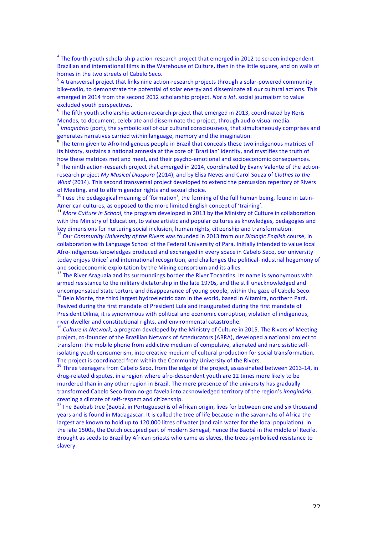$4$  The fourth vouth scholarship action-research project that emerged in 2012 to screen independent Brazilian and international films in the Warehouse of Culture, then in the little square, and on walls of homes in the two streets of Cabelo Seco.<br>  $5$  A transversal project that links nine action-research projects through a solar-powered community

bike-radio, to demonstrate the potential of solar energy and disseminate all our cultural actions. This emerged in 2014 from the second 2012 scholarship project, *Not a Jot*, social journalism to value excluded youth perspectives.

 $6$  The fifth youth scholarship action-research project that emerged in 2013, coordinated by Reris Mendes, to document, celebrate and disseminate the project, through audio-visual media.<br><sup>7</sup> *Imaginário* (port), the symbolic soil of our cultural consciousness, that simultaneously comprises and generates narratives carried within language, memory and the imagination.

 $8$  The term given to Afro-Indigenous people in Brazil that conceals these two indigenous matrices of its history, sustains a national amnesia at the core of 'Brazilian' identity, and mystifies the truth of how these matrices met and meet, and their psycho-emotional and socioeconomic consequences.<br>
<sup>9</sup> The ninth action-research project that emerged in 2014, coordinated by Évany Valente of the actionresearch project My Musical Diaspora (2014), and by Elisa Neves and Carol Souza of Clothes to the *Wind* (2014). This second transversal project developed to extend the percussion repertory of Rivers of Meeting, and to affirm gender rights and sexual choice.

 $10$  I use the pedagogical meaning of 'formation', the forming of the full human being, found in Latin-American cultures, as opposed to the more limited English concept of 'training'.

<sup>11</sup> More Culture in School, the program developed in 2013 by the Ministry of Culture in collaboration with the Ministry of Education, to value artistic and popular cultures as knowledges, pedagogies and key dimensions for nurturing social inclusion, human rights, citizenship and transformation.

<sup>12</sup> Our *Community University of the Rivers* was founded in 2013 from our *Dialogic English* course, in collaboration with Language School of the Federal University of Pará. Initially intended to value local Afro-Indigenous knowledges produced and exchanged in every space in Cabelo Seco, our university today enjoys Unicef and international recognition, and challenges the political-industrial hegemony of and socioeconomic exploitation by the Mining consortium and its allies.

 $^{13}$  The River Araguaia and its surroundings border the River Tocantins. Its name is synonymous with armed resistance to the military dictatorship in the late 1970s, and the still unacknowledged and uncompensated State torture and disappearance of young people, within the gaze of Cabelo Seco.<br><sup>14</sup> Belo Monte, the third largest hydroelectric dam in the world, based in Altamira, northern Pará.

Revived during the first mandate of President Lula and inaugurated during the first mandate of President Dilma, it is synonymous with political and economic corruption, violation of indigenous, river-dweller and constitutional rights, and environmental catastrophe.<br><sup>15</sup> *Culture in Network,* a program developed by the Ministry of Culture in 2015. The Rivers of Meeting

project, co-founder of the Brazilian Network of Arteducators (ABRA), developed a national project to transform the mobile phone from addictive medium of compulsive, alienated and narcissistic selfisolating youth consumerism, into creative medium of cultural production for social transformation. The project is coordinated from within the Community University of the Rivers.

 $16$  Three teenagers from Cabelo Seco, from the edge of the project, assassinated between 2013-14, in drug-related disputes, in a region where afro-descendent youth are 12 times more likely to be murdered than in any other region in Brazil. The mere presence of the university has gradually transformed Cabelo Seco from no-go favela into acknowledged territory of the region's *imaginário*, creating a climate of self-respect and citizenship.<br><sup>17</sup> The Baobab tree (Baobá, in Portuguese) is of African origin, lives for between one and six thousand

years and is found in Madagascar. It is called the tree of life because in the savannahs of Africa the largest are known to hold up to 120,000 litres of water (and rain water for the local population). In the late 1500s, the Dutch occupied part of modern Senegal, hence the Baobá in the middle of Recife. Brought as seeds to Brazil by African priests who came as slaves, the trees symbolised resistance to slavery.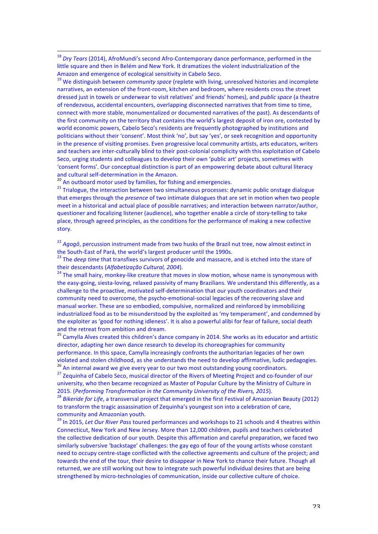<sup>18</sup> *Drv Tears* (2014), AfroMundi's second Afro-Contemporary dance performance, performed in the little square and then in Belém and New York. It dramatizes the violent industrialization of the Amazon and emergence of ecological sensitivity in Cabelo Seco.

<sup>19</sup> We distinguish between *community space* (replete with living, unresolved histories and incomplete narratives, an extension of the front-room, kitchen and bedroom, where residents cross the street dressed just in towels or underwear to visit relatives' and friends' homes), and *public space* (a theatre of rendezvous, accidental encounters, overlapping disconnected narratives that from time to time, connect with more stable, monumentalized or documented narratives of the past). As descendants of the first community on the territory that contains the world's largest deposit of iron ore, contested by world economic powers, Cabelo Seco's residents are frequently photographed by institutions and politicians without their 'consent'. Most think 'no', but say 'yes', or seek recognition and opportunity in the presence of visiting promises. Even progressive local community artists, arts educators, writers and teachers are inter-culturally blind to their post-colonial complicity with this exploitation of Cabelo Seco, urging students and colleagues to develop their own 'public art' projects, sometimes with 'consent forms'. Our conceptual distinction is part of an empowering debate about cultural literacy and cultural self-determination in the Amazon.<br><sup>20</sup> An outboard motor used by families, for fishing and emergencies.<br><sup>21</sup> Trialogue, the interaction between two simultaneous processes: dynamic public onstage dialogue

that emerges through the *presence* of two intimate dialogues that are set in motion when two people meet in a historical and actual place of possible narratives; and interaction between narrator/author, questioner and focalizing listener (audience), who together enable a circle of story-telling to take place, through agreed principles, as the conditions for the performance of making a new collective story.

<sup>22</sup> *Agogô*, percussion instrument made from two husks of the Brazil nut tree, now almost extinct in the South-East of Pará, the world's largest producer until the 1990s.

<sup>23</sup> The *deep time* that transfixes survivors of genocide and massacre, and is etched into the stare of their descendants (*Alfabetização Cultural, 2004*).<br><sup>24</sup> The small hairy, monkey-like creature that moves in slow motion, whose name is synonymous with

the easy-going, siesta-loving, relaxed passivity of many Brazilians. We understand this differently, as a challenge to the proactive, motivated self-determination that our vouth coordinators and their community need to overcome, the psycho-emotional-social legacies of the recovering slave and manual worker. These are so embodied, compulsive, normalized and reinforced by immobilizing industrialized food as to be misunderstood by the exploited as 'my temperament', and condemned by the exploiter as 'good for nothing idleness'. It is also a powerful alibi for fear of failure, social death and the retreat from ambition and dream.

<sup>25</sup> Camylla Alves created this children's dance company in 2014. She works as its educator and artistic director, adapting her own dance research to develop its choreographies for community performance. In this space, Camylla increasingly confronts the authoritarian legacies of her own violated and stolen childhood, as she understands the need to develop affirmative, ludic pedagogies.

<sup>26</sup> An internal award we give every year to our two most outstanding young coordinators.<br><sup>27</sup> Zequinha of Cabelo Seco, musical director of the Rivers of Meeting Project and co-founder of our university, who then became recognized as Master of Popular Culture by the Ministry of Culture in 2015. (*Performing Transformation in the Community University of the Rivers, 2015*). <sup>28</sup> *Bikeride for Life*, a transversal project that emerged in the first Festival of Amazonian Beauty (2012)

to transform the tragic assassination of Zequinha's youngest son into a celebration of care, community and Amazonian youth.

<sup>29</sup> In 2015, *Let Our River Pass* toured performances and workshops to 21 schools and 4 theatres within Connecticut, New York and New Jersey. More than 12,000 children, pupils and teachers celebrated the collective dedication of our youth. Despite this affirmation and careful preparation, we faced two similarly subversive 'backstage' challenges: the gay ego of four of the young artists whose constant need to occupy centre-stage conflicted with the collective agreements and culture of the project; and towards the end of the tour, their desire to disappear in New York to chance their future. Though all returned, we are still working out how to integrate such powerful individual desires that are being strengthened by micro-technologies of communication, inside our collective culture of choice.